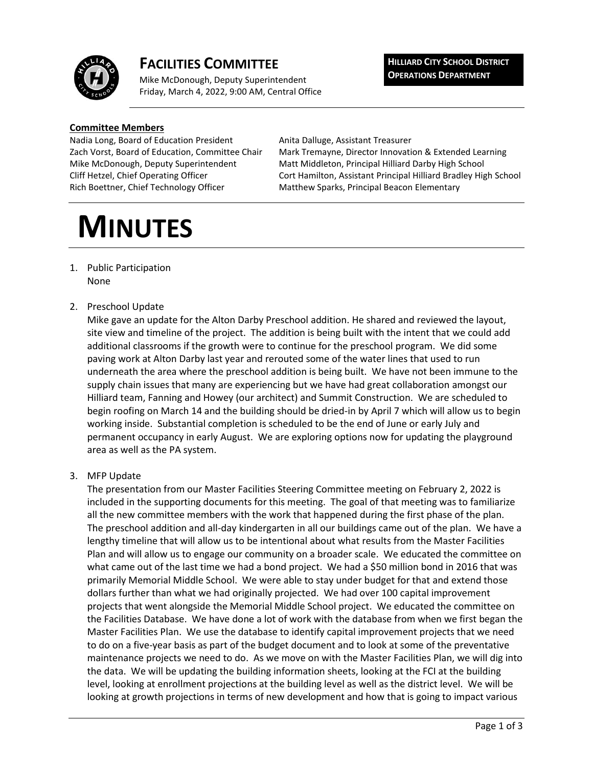

# **FACILITIES COMMITTEE**

Mike McDonough, Deputy Superintendent Friday, March 4, 2022, 9:00 AM, Central Office **HILLIARD CITY SCHOOL DISTRICT OPERATIONS DEPARTMENT**

#### **Committee Members**

Nadia Long, Board of Education President Anita Dalluge, Assistant Treasurer Rich Boettner, Chief Technology Officer Matthew Sparks, Principal Beacon Elementary

Zach Vorst, Board of Education, Committee Chair Mark Tremayne, Director Innovation & Extended Learning Mike McDonough, Deputy Superintendent Matt Middleton, Principal Hilliard Darby High School Cliff Hetzel, Chief Operating Officer Cort Hamilton, Assistant Principal Hilliard Bradley High School

# **MINUTES**

- 1. Public Participation None
- 2. Preschool Update

Mike gave an update for the Alton Darby Preschool addition. He shared and reviewed the layout, site view and timeline of the project. The addition is being built with the intent that we could add additional classrooms if the growth were to continue for the preschool program. We did some paving work at Alton Darby last year and rerouted some of the water lines that used to run underneath the area where the preschool addition is being built. We have not been immune to the supply chain issues that many are experiencing but we have had great collaboration amongst our Hilliard team, Fanning and Howey (our architect) and Summit Construction. We are scheduled to begin roofing on March 14 and the building should be dried-in by April 7 which will allow us to begin working inside. Substantial completion is scheduled to be the end of June or early July and permanent occupancy in early August. We are exploring options now for updating the playground area as well as the PA system.

3. MFP Update

The presentation from our Master Facilities Steering Committee meeting on February 2, 2022 is included in the supporting documents for this meeting. The goal of that meeting was to familiarize all the new committee members with the work that happened during the first phase of the plan. The preschool addition and all-day kindergarten in all our buildings came out of the plan. We have a lengthy timeline that will allow us to be intentional about what results from the Master Facilities Plan and will allow us to engage our community on a broader scale. We educated the committee on what came out of the last time we had a bond project. We had a \$50 million bond in 2016 that was primarily Memorial Middle School. We were able to stay under budget for that and extend those dollars further than what we had originally projected. We had over 100 capital improvement projects that went alongside the Memorial Middle School project. We educated the committee on the Facilities Database. We have done a lot of work with the database from when we first began the Master Facilities Plan. We use the database to identify capital improvement projects that we need to do on a five-year basis as part of the budget document and to look at some of the preventative maintenance projects we need to do. As we move on with the Master Facilities Plan, we will dig into the data. We will be updating the building information sheets, looking at the FCI at the building level, looking at enrollment projections at the building level as well as the district level. We will be looking at growth projections in terms of new development and how that is going to impact various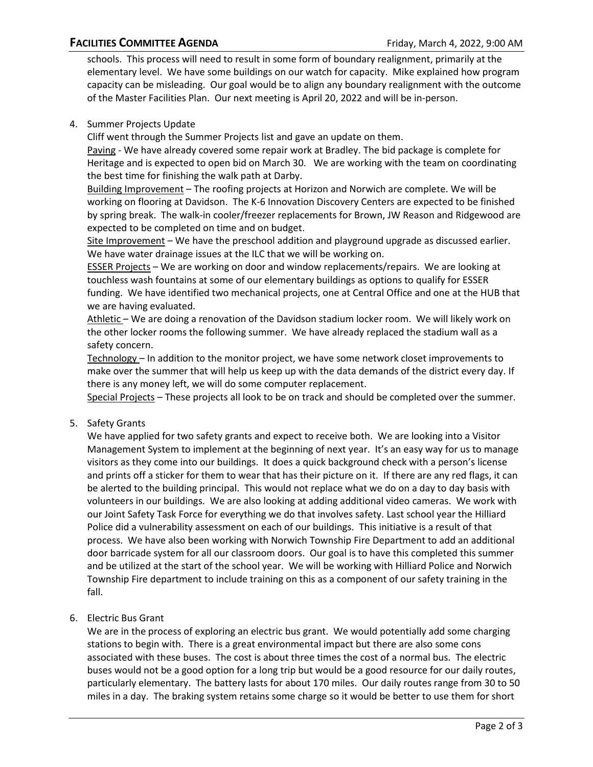schools. This process will need to result in some form of boundary realignment, primarily at the elementary level. We have some buildings on our watch for capacity. Mike explained how program capacity can be misleading. Our goal would be to align any boundary realignment with the outcome of the Master Facilities Plan. Our next meeting is April 20, 2022 and will be in-person.

### 4. Summer Projects Update

Cliff went through the Summer Projects list and gave an update on them.

Paving - We have already covered some repair work at Bradley. The bid package is complete for Heritage and is expected to open bid on March 30. We are working with the team on coordinating the best time for finishing the walk path at Darby.

Building Improvement – The roofing projects at Horizon and Norwich are complete. We will be working on flooring at Davidson. The K-6 Innovation Discovery Centers are expected to be finished by spring break. The walk-in cooler/freezer replacements for Brown, JW Reason and Ridgewood are expected to be completed on time and on budget.

Site Improvement – We have the preschool addition and playground upgrade as discussed earlier. We have water drainage issues at the ILC that we will be working on.

ESSER Projects – We are working on door and window replacements/repairs. We are looking at touchless wash fountains at some of our elementary buildings as options to qualify for ESSER funding. We have identified two mechanical projects, one at Central Office and one at the HUB that we are having evaluated.

Athletic - We are doing a renovation of the Davidson stadium locker room. We will likely work on the other locker rooms the following summer. We have already replaced the stadium wall as a safety concern.

Technology – In addition to the monitor project, we have some network closet improvements to make over the summer that will help us keep up with the data demands of the district every day. If there is any money left, we will do some computer replacement.

Special Projects – These projects all look to be on track and should be completed over the summer.

#### 5. Safety Grants

We have applied for two safety grants and expect to receive both. We are looking into a Visitor Management System to implement at the beginning of next year. It's an easy way for us to manage visitors as they come into our buildings. It does a quick background check with a person's license and prints off a sticker for them to wear that has their picture on it. If there are any red flags, it can be alerted to the building principal. This would not replace what we do on a day to day basis with volunteers in our buildings. We are also looking at adding additional video cameras. We work with our Joint Safety Task Force for everything we do that involves safety. Last school year the Hilliard Police did a vulnerability assessment on each of our buildings. This initiative is a result of that process. We have also been working with Norwich Township Fire Department to add an additional door barricade system for all our classroom doors. Our goal is to have this completed this summer and be utilized at the start of the school year. We will be working with Hilliard Police and Norwich Township Fire department to include training on this as a component of our safety training in the fall.

6. Electric Bus Grant

We are in the process of exploring an electric bus grant. We would potentially add some charging stations to begin with. There is a great environmental impact but there are also some cons associated with these buses. The cost is about three times the cost of a normal bus. The electric buses would not be a good option for a long trip but would be a good resource for our daily routes, particularly elementary. The battery lasts for about 170 miles. Our daily routes range from 30 to 50 miles in a day. The braking system retains some charge so it would be better to use them for short